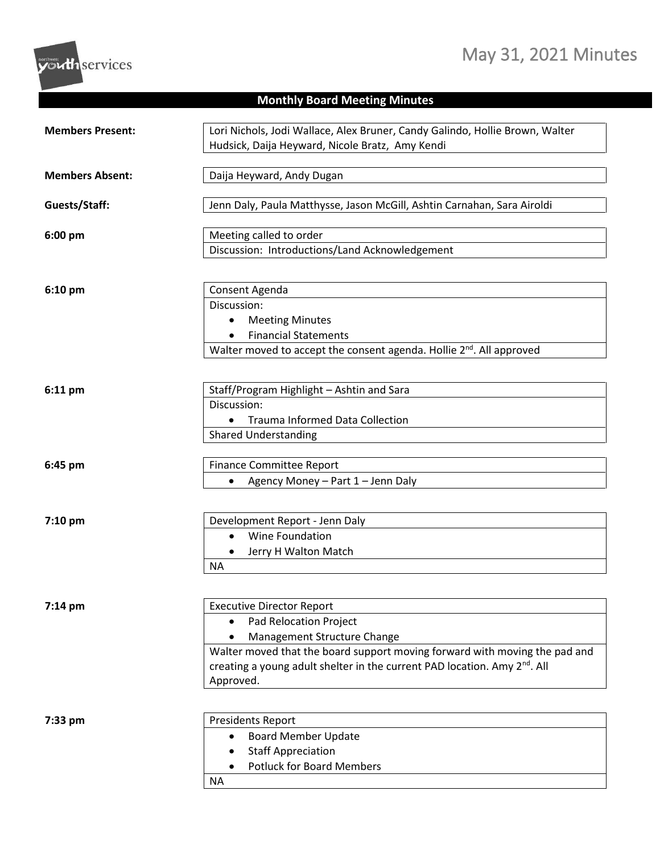## May 31, 2021 Minutes



## **Monthly Board Meeting Minutes**

| <b>Members Present:</b> | Lori Nichols, Jodi Wallace, Alex Bruner, Candy Galindo, Hollie Brown, Walter          |
|-------------------------|---------------------------------------------------------------------------------------|
|                         | Hudsick, Daija Heyward, Nicole Bratz, Amy Kendi                                       |
|                         |                                                                                       |
| <b>Members Absent:</b>  | Daija Heyward, Andy Dugan                                                             |
|                         |                                                                                       |
| Guests/Staff:           | Jenn Daly, Paula Matthysse, Jason McGill, Ashtin Carnahan, Sara Airoldi               |
|                         |                                                                                       |
| 6:00 pm                 | Meeting called to order                                                               |
|                         | Discussion: Introductions/Land Acknowledgement                                        |
|                         |                                                                                       |
|                         |                                                                                       |
| 6:10 pm                 | Consent Agenda<br>Discussion:                                                         |
|                         | <b>Meeting Minutes</b>                                                                |
|                         | <b>Financial Statements</b>                                                           |
|                         | Walter moved to accept the consent agenda. Hollie 2 <sup>nd</sup> . All approved      |
|                         |                                                                                       |
|                         |                                                                                       |
| 6:11 pm                 | Staff/Program Highlight - Ashtin and Sara                                             |
|                         | Discussion:                                                                           |
|                         | <b>Trauma Informed Data Collection</b>                                                |
|                         | <b>Shared Understanding</b>                                                           |
|                         |                                                                                       |
| 6:45 pm                 | <b>Finance Committee Report</b>                                                       |
|                         | Agency Money - Part 1 - Jenn Daly<br>$\bullet$                                        |
|                         |                                                                                       |
|                         |                                                                                       |
| $7:10$ pm               | Development Report - Jenn Daly                                                        |
|                         | Wine Foundation<br>$\bullet$                                                          |
|                         | Jerry H Walton Match                                                                  |
|                         | <b>NA</b>                                                                             |
|                         |                                                                                       |
| 7:14 pm                 | <b>Executive Director Report</b>                                                      |
|                         | Pad Relocation Project                                                                |
|                         | Management Structure Change                                                           |
|                         | Walter moved that the board support moving forward with moving the pad and            |
|                         | creating a young adult shelter in the current PAD location. Amy 2 <sup>nd</sup> . All |
|                         | Approved.                                                                             |
|                         |                                                                                       |
|                         |                                                                                       |
| 7:33 pm                 | <b>Presidents Report</b>                                                              |
|                         | <b>Board Member Update</b>                                                            |
|                         | <b>Staff Appreciation</b>                                                             |
|                         | <b>Potluck for Board Members</b>                                                      |
|                         | <b>NA</b>                                                                             |